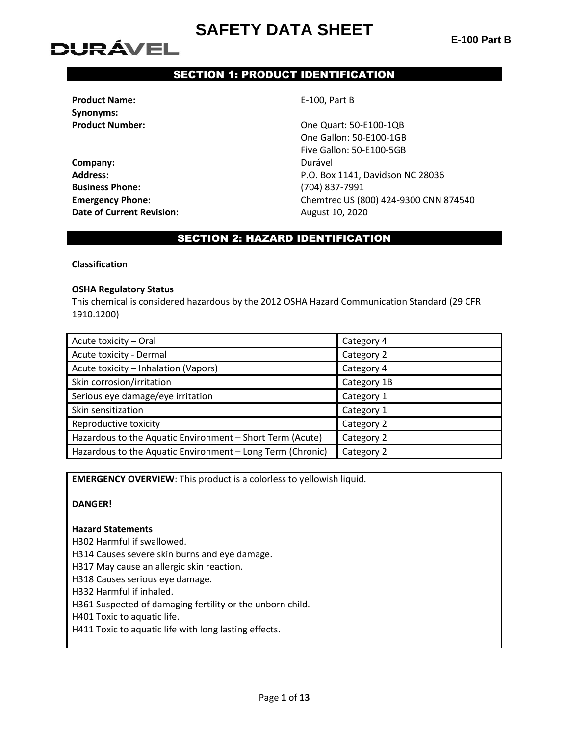**E-100 Part B**

# **DURÁVEL**

## SECTION 1: PRODUCT IDENTIFICATION

**Product Name:** E-100, Part B **Synonyms:**

**Company:** Durável **Business Phone:** (704) 837-7991 **Date of Current Revision:** August 10, 2020

**Product Number:**  $\qquad \qquad \qquad$  One Quart: 50-E100-1QB One Gallon: 50-E100-1GB Five Gallon: 50-E100-5GB **Address:** P.O. Box 1141, Davidson NC 28036 **Emergency Phone:** Chemtrec US (800) 424-9300 CNN 874540

### SECTION 2: HAZARD IDENTIFICATION

#### **Classification**

#### **OSHA Regulatory Status**

This chemical is considered hazardous by the 2012 OSHA Hazard Communication Standard (29 CFR 1910.1200)

| Acute toxicity - Oral                                      | Category 4  |
|------------------------------------------------------------|-------------|
| Acute toxicity - Dermal                                    | Category 2  |
| Acute toxicity - Inhalation (Vapors)                       | Category 4  |
| Skin corrosion/irritation                                  | Category 1B |
| Serious eye damage/eye irritation                          | Category 1  |
| Skin sensitization                                         | Category 1  |
| Reproductive toxicity                                      | Category 2  |
| Hazardous to the Aquatic Environment - Short Term (Acute)  | Category 2  |
| Hazardous to the Aquatic Environment - Long Term (Chronic) | Category 2  |

**EMERGENCY OVERVIEW**: This product is a colorless to yellowish liquid.

#### **DANGER!**

#### **Hazard Statements**

H302 Harmful if swallowed.

H314 Causes severe skin burns and eye damage.

H317 May cause an allergic skin reaction.

H318 Causes serious eye damage.

H332 Harmful if inhaled.

H361 Suspected of damaging fertility or the unborn child.

H401 Toxic to aquatic life.

H411 Toxic to aquatic life with long lasting effects.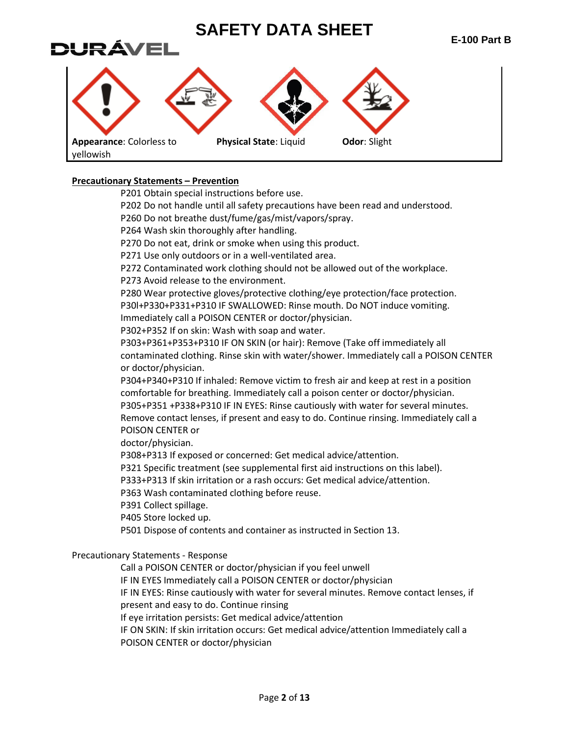

#### **Precautionary Statements – Prevention**

P201 Obtain special instructions before use.

P202 Do not handle until all safety precautions have been read and understood.

P260 Do not breathe dust/fume/gas/mist/vapors/spray.

P264 Wash skin thoroughly after handling.

P270 Do not eat, drink or smoke when using this product.

P271 Use only outdoors or in a well-ventilated area.

P272 Contaminated work clothing should not be allowed out of the workplace.

P273 Avoid release to the environment.

P280 Wear protective gloves/protective clothing/eye protection/face protection. P30l+P330+P331+P310 IF SWALLOWED: Rinse mouth. Do NOT induce vomiting.

Immediately call a POISON CENTER or doctor/physician.

P302+P352 If on skin: Wash with soap and water.

P303+P361+P353+P310 IF ON SKIN (or hair): Remove (Take off immediately all contaminated clothing. Rinse skin with water/shower. Immediately call a POISON CENTER or doctor/physician.

P304+P340+P310 If inhaled: Remove victim to fresh air and keep at rest in a position comfortable for breathing. Immediately call a poison center or doctor/physician. P305+P351 +P338+P310 IF IN EYES: Rinse cautiously with water for several minutes. Remove contact lenses, if present and easy to do. Continue rinsing. Immediately call a POISON CENTER or

doctor/physician.

P308+P313 If exposed or concerned: Get medical advice/attention.

P321 Specific treatment (see supplemental first aid instructions on this label).

P333+P313 If skin irritation or a rash occurs: Get medical advice/attention.

P363 Wash contaminated clothing before reuse.

P391 Collect spillage.

P405 Store locked up.

P501 Dispose of contents and container as instructed in Section 13.

#### Precautionary Statements - Response

Call a POISON CENTER or doctor/physician if you feel unwell

IF IN EYES Immediately call a POISON CENTER or doctor/physician

IF IN EYES: Rinse cautiously with water for several minutes. Remove contact lenses, if

present and easy to do. Continue rinsing

If eye irritation persists: Get medical advice/attention

IF ON SKIN: If skin irritation occurs: Get medical advice/attention Immediately call a POISON CENTER or doctor/physician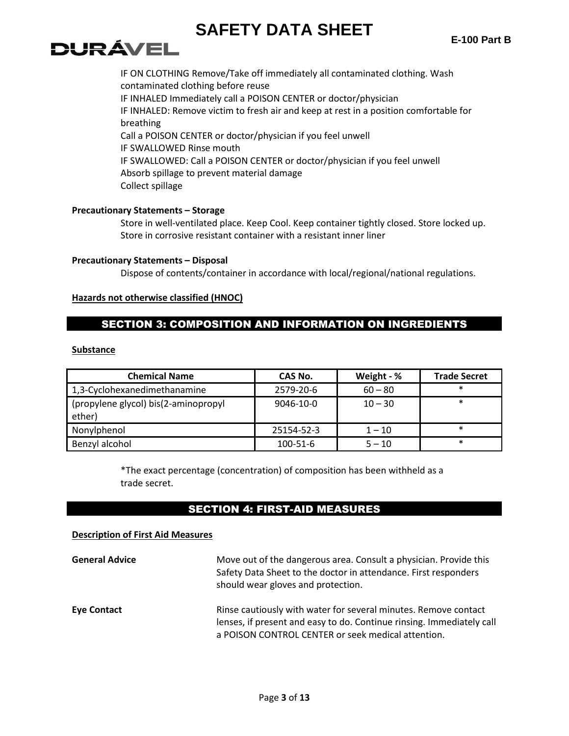# DURÁVEI

IF ON CLOTHING Remove/Take off immediately all contaminated clothing. Wash contaminated clothing before reuse IF INHALED Immediately call a POISON CENTER or doctor/physician IF INHALED: Remove victim to fresh air and keep at rest in a position comfortable for breathing Call a POISON CENTER or doctor/physician if you feel unwell IF SWALLOWED Rinse mouth IF SWALLOWED: Call a POISON CENTER or doctor/physician if you feel unwell Absorb spillage to prevent material damage Collect spillage

#### **Precautionary Statements – Storage**

Store in well-ventilated place. Keep Cool. Keep container tightly closed. Store locked up. Store in corrosive resistant container with a resistant inner liner

#### **Precautionary Statements – Disposal**

Dispose of contents/container in accordance with local/regional/national regulations.

#### **Hazards not otherwise classified (HNOC)**

### SECTION 3: COMPOSITION AND INFORMATION ON INGREDIENTS

#### **Substance**

| <b>Chemical Name</b>                           | CAS No.    | Weight - % | <b>Trade Secret</b> |
|------------------------------------------------|------------|------------|---------------------|
| 1,3-Cyclohexanedimethanamine                   | 2579-20-6  | $60 - 80$  | $\ast$              |
| (propylene glycol) bis(2-aminopropyl<br>ether) | 9046-10-0  | $10 - 30$  | $\ast$              |
| Nonylphenol                                    | 25154-52-3 | $1 - 10$   | $\ast$              |
| Benzyl alcohol                                 | 100-51-6   | $5 - 10$   | $\ast$              |

\*The exact percentage (concentration) of composition has been withheld as a trade secret.

### SECTION 4: FIRST-AID MEASURES

#### **Description of First Aid Measures**

| <b>General Advice</b> | Move out of the dangerous area. Consult a physician. Provide this<br>Safety Data Sheet to the doctor in attendance. First responders<br>should wear gloves and protection.                     |
|-----------------------|------------------------------------------------------------------------------------------------------------------------------------------------------------------------------------------------|
| <b>Eye Contact</b>    | Rinse cautiously with water for several minutes. Remove contact<br>lenses, if present and easy to do. Continue rinsing. Immediately call<br>a POISON CONTROL CENTER or seek medical attention. |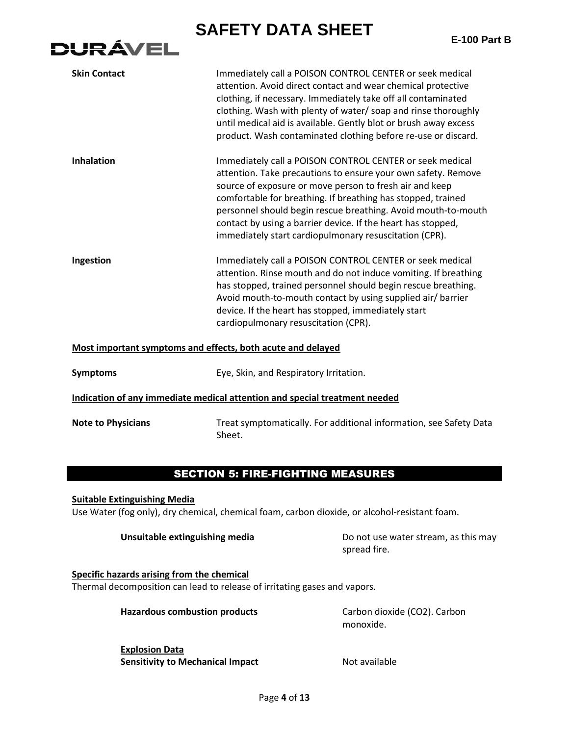**E-100 Part B**



| <b>Skin Contact</b>                                         | Immediately call a POISON CONTROL CENTER or seek medical<br>attention. Avoid direct contact and wear chemical protective<br>clothing, if necessary. Immediately take off all contaminated<br>clothing. Wash with plenty of water/ soap and rinse thoroughly<br>until medical aid is available. Gently blot or brush away excess<br>product. Wash contaminated clothing before re-use or discard.                                                |  |
|-------------------------------------------------------------|-------------------------------------------------------------------------------------------------------------------------------------------------------------------------------------------------------------------------------------------------------------------------------------------------------------------------------------------------------------------------------------------------------------------------------------------------|--|
| <b>Inhalation</b>                                           | Immediately call a POISON CONTROL CENTER or seek medical<br>attention. Take precautions to ensure your own safety. Remove<br>source of exposure or move person to fresh air and keep<br>comfortable for breathing. If breathing has stopped, trained<br>personnel should begin rescue breathing. Avoid mouth-to-mouth<br>contact by using a barrier device. If the heart has stopped,<br>immediately start cardiopulmonary resuscitation (CPR). |  |
| Ingestion                                                   | Immediately call a POISON CONTROL CENTER or seek medical<br>attention. Rinse mouth and do not induce vomiting. If breathing<br>has stopped, trained personnel should begin rescue breathing.<br>Avoid mouth-to-mouth contact by using supplied air/barrier<br>device. If the heart has stopped, immediately start<br>cardiopulmonary resuscitation (CPR).                                                                                       |  |
| Most important symptoms and effects, both acute and delayed |                                                                                                                                                                                                                                                                                                                                                                                                                                                 |  |
| <b>Symptoms</b>                                             | Eye, Skin, and Respiratory Irritation.                                                                                                                                                                                                                                                                                                                                                                                                          |  |
|                                                             | Indication of any immediate medical attention and special treatment needed                                                                                                                                                                                                                                                                                                                                                                      |  |
| <b>Note to Physicians</b>                                   | Treat symptomatically. For additional information, see Safety Data<br>Sheet.                                                                                                                                                                                                                                                                                                                                                                    |  |

### SECTION 5: FIRE-FIGHTING MEASURES

**Suitable Extinguishing Media** Use Water (fog only), dry chemical, chemical foam, carbon dioxide, or alcohol-resistant foam.

**Unsuitable extinguishing media** Do not use water stream, as this may spread fire.

**Specific hazards arising from the chemical** Thermal decomposition can lead to release of irritating gases and vapors.

Hazardous combustion products **Carbon dioxide (CO2)**. Carbon

monoxide.

**Explosion Data Sensitivity to Mechanical Impact Mechanical Impact Not available**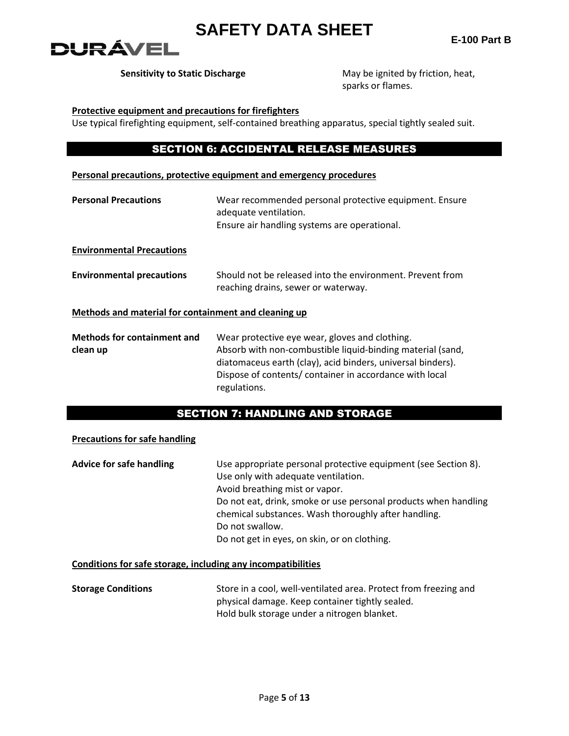

**Sensitivity to Static Discharge** May be ignited by friction, heat, sparks or flames.

#### **Protective equipment and precautions for firefighters**

Use typical firefighting equipment, self-contained breathing apparatus, special tightly sealed suit.

### SECTION 6: ACCIDENTAL RELEASE MEASURES

#### **Personal precautions, protective equipment and emergency procedures**

| <b>Personal Precautions</b>                          | Wear recommended personal protective equipment. Ensure<br>adequate ventilation.<br>Ensure air handling systems are operational.                                                                                                                       |
|------------------------------------------------------|-------------------------------------------------------------------------------------------------------------------------------------------------------------------------------------------------------------------------------------------------------|
| <b>Environmental Precautions</b>                     |                                                                                                                                                                                                                                                       |
| <b>Environmental precautions</b>                     | Should not be released into the environment. Prevent from<br>reaching drains, sewer or waterway.                                                                                                                                                      |
| Methods and material for containment and cleaning up |                                                                                                                                                                                                                                                       |
| <b>Methods for containment and</b><br>clean up       | Wear protective eye wear, gloves and clothing.<br>Absorb with non-combustible liquid-binding material (sand,<br>diatomaceus earth (clay), acid binders, universal binders).<br>Dispose of contents/container in accordance with local<br>regulations. |

## SECTION 7: HANDLING AND STORAGE

#### **Precautions for safe handling**

| Use appropriate personal protective equipment (see Section 8).  |
|-----------------------------------------------------------------|
| Use only with adequate ventilation.                             |
| Avoid breathing mist or vapor.                                  |
| Do not eat, drink, smoke or use personal products when handling |
| chemical substances. Wash thoroughly after handling.            |
| Do not swallow.                                                 |
| Do not get in eyes, on skin, or on clothing.                    |
|                                                                 |

#### **Conditions for safe storage, including any incompatibilities**

| <b>Storage Conditions</b> | Store in a cool, well-ventilated area. Protect from freezing and |
|---------------------------|------------------------------------------------------------------|
|                           | physical damage. Keep container tightly sealed.                  |
|                           | Hold bulk storage under a nitrogen blanket.                      |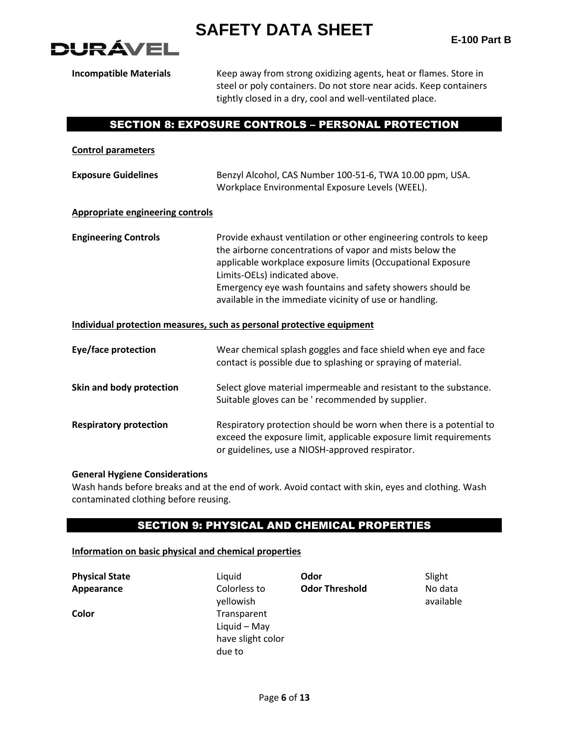



**Incompatible Materials** Keep away from strong oxidizing agents, heat or flames. Store in steel or poly containers. Do not store near acids. Keep containers tightly closed in a dry, cool and well-ventilated place.

### SECTION 8: EXPOSURE CONTROLS – PERSONAL PROTECTION

| <b>Control parameters</b>               |                                                                                                                                                                                                                                                                                                                                                       |
|-----------------------------------------|-------------------------------------------------------------------------------------------------------------------------------------------------------------------------------------------------------------------------------------------------------------------------------------------------------------------------------------------------------|
| <b>Exposure Guidelines</b>              | Benzyl Alcohol, CAS Number 100-51-6, TWA 10.00 ppm, USA.<br>Workplace Environmental Exposure Levels (WEEL).                                                                                                                                                                                                                                           |
| <b>Appropriate engineering controls</b> |                                                                                                                                                                                                                                                                                                                                                       |
| <b>Engineering Controls</b>             | Provide exhaust ventilation or other engineering controls to keep<br>the airborne concentrations of vapor and mists below the<br>applicable workplace exposure limits (Occupational Exposure<br>Limits-OELs) indicated above.<br>Emergency eye wash fountains and safety showers should be<br>available in the immediate vicinity of use or handling. |
|                                         | Individual protection measures, such as personal protective equipment                                                                                                                                                                                                                                                                                 |
| Eye/face protection                     | Wear chemical splash goggles and face shield when eye and face<br>contact is possible due to splashing or spraying of material.                                                                                                                                                                                                                       |
| Skin and body protection                | Select glove material impermeable and resistant to the substance.<br>Suitable gloves can be ' recommended by supplier.                                                                                                                                                                                                                                |
| <b>Respiratory protection</b>           | Respiratory protection should be worn when there is a potential to<br>exceed the exposure limit, applicable exposure limit requirements                                                                                                                                                                                                               |

#### **General Hygiene Considerations**

Wash hands before breaks and at the end of work. Avoid contact with skin, eyes and clothing. Wash contaminated clothing before reusing.

or guidelines, use a NIOSH-approved respirator.

### SECTION 9: PHYSICAL AND CHEMICAL PROPERTIES

#### **Information on basic physical and chemical properties**

| <b>Physical State</b> | Liauid       | Odor                  | Slight |
|-----------------------|--------------|-----------------------|--------|
| Appearance            | Colorless to | <b>Odor Threshold</b> | No da  |
|                       | vellowish    |                       | availa |

**Colorless to** yellowish **Color** Transparent Liquid – May have slight color due to

**Odor Threshold** No data

available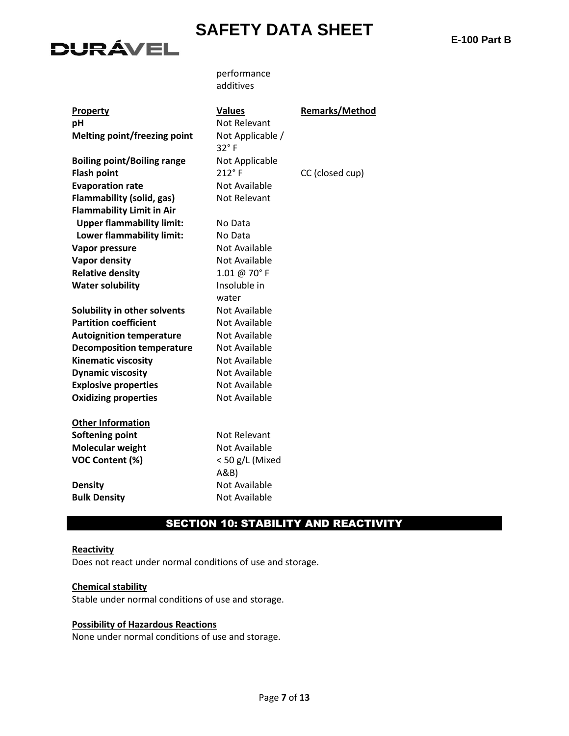

**E-100 Part B**

performance additives

| <b>Property</b>                    | <b>Values</b>        | <b>Remarks/Method</b> |
|------------------------------------|----------------------|-----------------------|
| рH                                 | Not Relevant         |                       |
| Melting point/freezing point       | Not Applicable /     |                       |
|                                    | 32°F                 |                       |
| <b>Boiling point/Boiling range</b> | Not Applicable       |                       |
| <b>Flash point</b>                 | $212^\circ$ F        | CC (closed cup)       |
| <b>Evaporation rate</b>            | Not Available        |                       |
| <b>Flammability (solid, gas)</b>   | Not Relevant         |                       |
| <b>Flammability Limit in Air</b>   |                      |                       |
| <b>Upper flammability limit:</b>   | No Data              |                       |
| Lower flammability limit:          | No Data              |                       |
| Vapor pressure                     | <b>Not Available</b> |                       |
| <b>Vapor density</b>               | Not Available        |                       |
| <b>Relative density</b>            | 1.01 @ 70°F          |                       |
| <b>Water solubility</b>            | Insoluble in         |                       |
|                                    | water                |                       |
| Solubility in other solvents       | Not Available        |                       |
| <b>Partition coefficient</b>       | <b>Not Available</b> |                       |
| <b>Autoignition temperature</b>    | <b>Not Available</b> |                       |
| <b>Decomposition temperature</b>   | Not Available        |                       |
| <b>Kinematic viscosity</b>         | <b>Not Available</b> |                       |
| <b>Dynamic viscosity</b>           | Not Available        |                       |
| <b>Explosive properties</b>        | <b>Not Available</b> |                       |
| <b>Oxidizing properties</b>        | Not Available        |                       |
|                                    |                      |                       |
| <b>Other Information</b>           |                      |                       |
| <b>Softening point</b>             | Not Relevant         |                       |
| <b>Molecular weight</b>            | Not Available        |                       |
| <b>VOC Content (%)</b>             | < 50 g/L (Mixed      |                       |
|                                    | A&B                  |                       |
| <b>Density</b>                     | <b>Not Available</b> |                       |
| <b>Bulk Density</b>                | Not Available        |                       |

## SECTION 10: STABILITY AND REACTIVITY

#### **Reactivity**

Does not react under normal conditions of use and storage.

#### **Chemical stability**

Stable under normal conditions of use and storage.

#### **Possibility of Hazardous Reactions**

None under normal conditions of use and storage.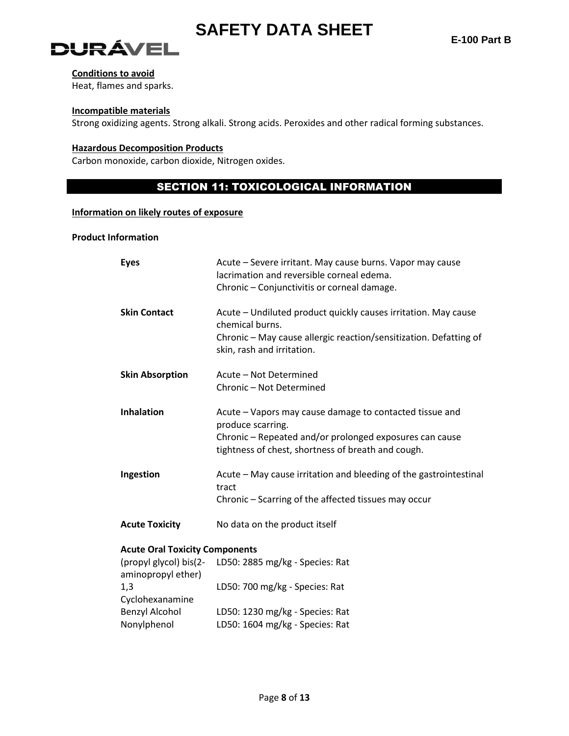

# **DURÁVEL**

#### **Conditions to avoid**

Heat, flames and sparks.

#### **Incompatible materials**

Strong oxidizing agents. Strong alkali. Strong acids. Peroxides and other radical forming substances.

#### **Hazardous Decomposition Products**

Carbon monoxide, carbon dioxide, Nitrogen oxides.

## SECTION 11: TOXICOLOGICAL INFORMATION

#### **Information on likely routes of exposure**

#### **Product Information**

| <b>Eyes</b>                                  | Acute - Severe irritant. May cause burns. Vapor may cause<br>lacrimation and reversible corneal edema.<br>Chronic - Conjunctivitis or corneal damage.                                         |
|----------------------------------------------|-----------------------------------------------------------------------------------------------------------------------------------------------------------------------------------------------|
| <b>Skin Contact</b>                          | Acute - Undiluted product quickly causes irritation. May cause<br>chemical burns.<br>Chronic - May cause allergic reaction/sensitization. Defatting of<br>skin, rash and irritation.          |
| <b>Skin Absorption</b>                       | Acute - Not Determined<br>Chronic - Not Determined                                                                                                                                            |
| <b>Inhalation</b>                            | Acute - Vapors may cause damage to contacted tissue and<br>produce scarring.<br>Chronic - Repeated and/or prolonged exposures can cause<br>tightness of chest, shortness of breath and cough. |
| Ingestion                                    | Acute - May cause irritation and bleeding of the gastrointestinal<br>tract<br>Chronic - Scarring of the affected tissues may occur                                                            |
| <b>Acute Toxicity</b>                        | No data on the product itself                                                                                                                                                                 |
| <b>Acute Oral Toxicity Components</b>        |                                                                                                                                                                                               |
| (propyl glycol) bis(2-<br>aminopropyl ether) | LD50: 2885 mg/kg - Species: Rat                                                                                                                                                               |
| 1,3<br>Cyclohexanamine                       | LD50: 700 mg/kg - Species: Rat                                                                                                                                                                |
| <b>Benzyl Alcohol</b>                        | LD50: 1230 mg/kg - Species: Rat                                                                                                                                                               |
| Nonylphenol                                  | LD50: 1604 mg/kg - Species: Rat                                                                                                                                                               |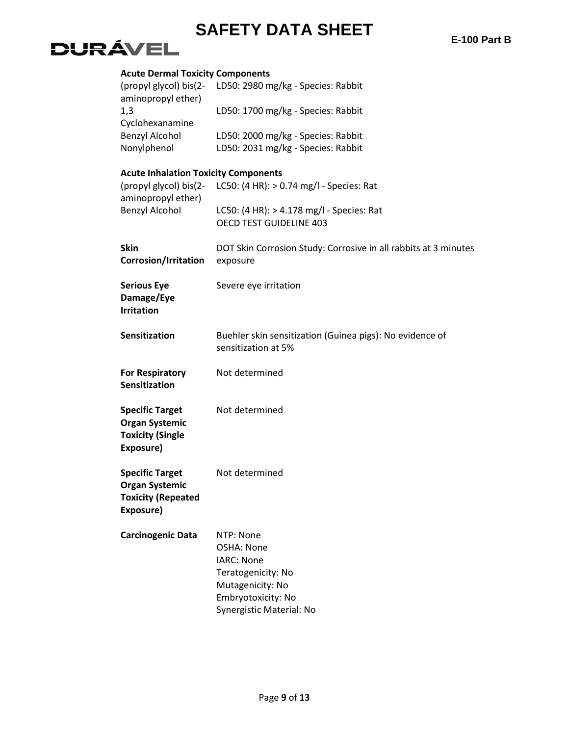**E-100 Part B**

# **DURÁVEL**

| <b>Acute Dermal Toxicity Components</b>                                                     |                                                                                                                                          |
|---------------------------------------------------------------------------------------------|------------------------------------------------------------------------------------------------------------------------------------------|
| (propyl glycol) bis(2-<br>aminopropyl ether)                                                | LD50: 2980 mg/kg - Species: Rabbit                                                                                                       |
| 1,3<br>Cyclohexanamine                                                                      | LD50: 1700 mg/kg - Species: Rabbit                                                                                                       |
| <b>Benzyl Alcohol</b>                                                                       | LD50: 2000 mg/kg - Species: Rabbit                                                                                                       |
| Nonylphenol                                                                                 | LD50: 2031 mg/kg - Species: Rabbit                                                                                                       |
| <b>Acute Inhalation Toxicity Components</b><br>(propyl glycol) bis(2-<br>aminopropyl ether) | LC50: (4 HR): > 0.74 mg/l - Species: Rat                                                                                                 |
| <b>Benzyl Alcohol</b>                                                                       | LC50: (4 HR): > 4.178 mg/l - Species: Rat<br>OECD TEST GUIDELINE 403                                                                     |
| <b>Skin</b><br>Corrosion/Irritation                                                         | DOT Skin Corrosion Study: Corrosive in all rabbits at 3 minutes<br>exposure                                                              |
| <b>Serious Eye</b><br>Damage/Eye<br><b>Irritation</b>                                       | Severe eye irritation                                                                                                                    |
| <b>Sensitization</b>                                                                        | Buehler skin sensitization (Guinea pigs): No evidence of<br>sensitization at 5%                                                          |
| <b>For Respiratory</b><br><b>Sensitization</b>                                              | Not determined                                                                                                                           |
| <b>Specific Target</b><br><b>Organ Systemic</b><br><b>Toxicity (Single</b><br>Exposure)     | Not determined                                                                                                                           |
| <b>Specific Target</b><br><b>Organ Systemic</b><br><b>Toxicity (Repeated</b><br>Exposure)   | Not determined                                                                                                                           |
| <b>Carcinogenic Data</b>                                                                    | NTP: None<br>OSHA: None<br><b>IARC: None</b><br>Teratogenicity: No<br>Mutagenicity: No<br>Embryotoxicity: No<br>Synergistic Material: No |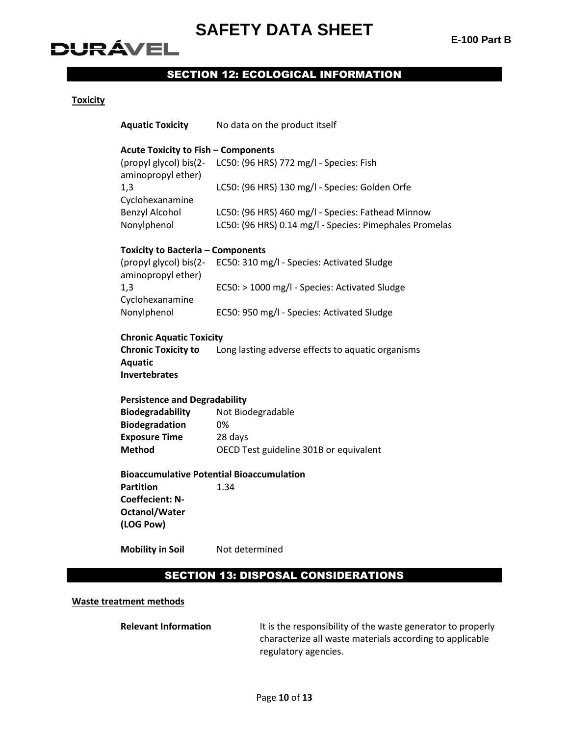# **DURÁVEL**

## SECTION 12: ECOLOGICAL INFORMATION

#### **Toxicity**

| <b>Aquatic Toxicity</b>                          | No data on the product itself                           |  |  |  |  |  |
|--------------------------------------------------|---------------------------------------------------------|--|--|--|--|--|
| <b>Acute Toxicity to Fish - Components</b>       |                                                         |  |  |  |  |  |
| (propyl glycol) bis(2-<br>aminopropyl ether)     | LC50: (96 HRS) 772 mg/l - Species: Fish                 |  |  |  |  |  |
| 1,3<br>Cyclohexanamine                           | LC50: (96 HRS) 130 mg/l - Species: Golden Orfe          |  |  |  |  |  |
| <b>Benzyl Alcohol</b>                            | LC50: (96 HRS) 460 mg/l - Species: Fathead Minnow       |  |  |  |  |  |
| Nonylphenol                                      | LC50: (96 HRS) 0.14 mg/l - Species: Pimephales Promelas |  |  |  |  |  |
| <b>Toxicity to Bacteria - Components</b>         |                                                         |  |  |  |  |  |
| (propyl glycol) bis(2-<br>aminopropyl ether)     | EC50: 310 mg/l - Species: Activated Sludge              |  |  |  |  |  |
| 1,3<br>Cyclohexanamine                           | EC50: > 1000 mg/l - Species: Activated Sludge           |  |  |  |  |  |
| Nonylphenol                                      | EC50: 950 mg/l - Species: Activated Sludge              |  |  |  |  |  |
| <b>Chronic Aquatic Toxicity</b>                  |                                                         |  |  |  |  |  |
| <b>Chronic Toxicity to</b><br><b>Aquatic</b>     | Long lasting adverse effects to aquatic organisms       |  |  |  |  |  |
| <b>Invertebrates</b>                             |                                                         |  |  |  |  |  |
| <b>Persistence and Degradability</b>             |                                                         |  |  |  |  |  |
| Biodegradability                                 | Not Biodegradable                                       |  |  |  |  |  |
| <b>Biodegradation</b>                            | 0%                                                      |  |  |  |  |  |
| <b>Exposure Time</b><br><b>Method</b>            | 28 days                                                 |  |  |  |  |  |
|                                                  | OECD Test guideline 301B or equivalent                  |  |  |  |  |  |
| <b>Bioaccumulative Potential Bioaccumulation</b> |                                                         |  |  |  |  |  |
| <b>Partition</b>                                 | 1.34                                                    |  |  |  |  |  |
| <b>Coeffecient: N-</b>                           |                                                         |  |  |  |  |  |
| <b>Octanol/Water</b>                             |                                                         |  |  |  |  |  |
| (LOG Pow)                                        |                                                         |  |  |  |  |  |
| <b>Mobility in Soil</b>                          | Not determined                                          |  |  |  |  |  |
|                                                  | <b>SECTION 13: DISPOSAL CONSIDERATIONS</b>              |  |  |  |  |  |

#### **Waste treatment methods**

**Relevant Information** It is the responsibility of the waste generator to properly characterize all waste materials according to applicable regulatory agencies.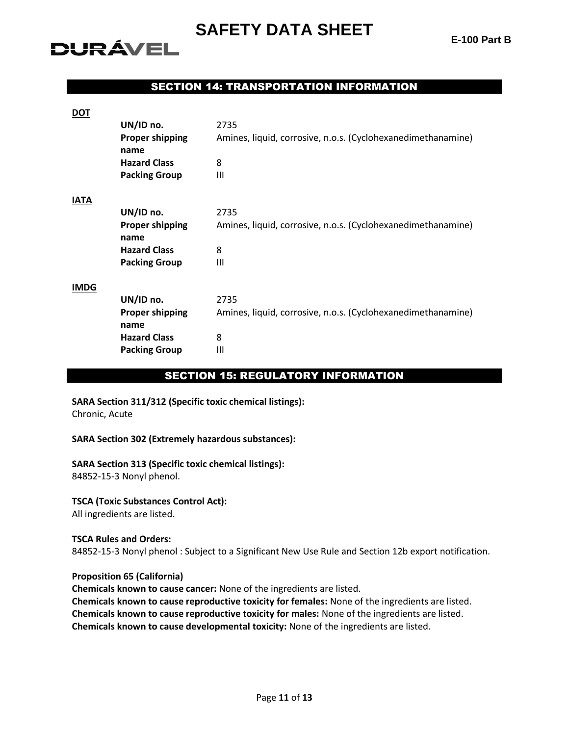# **DURÁVEL**

## SECTION 14: TRANSPORTATION INFORMATION

| <u>DOT</u>  |                        |                                                              |
|-------------|------------------------|--------------------------------------------------------------|
|             | UN/ID no.              | 2735                                                         |
|             | <b>Proper shipping</b> | Amines, liquid, corrosive, n.o.s. (Cyclohexanedimethanamine) |
|             | name                   |                                                              |
|             | <b>Hazard Class</b>    | 8                                                            |
|             | <b>Packing Group</b>   | Ш                                                            |
| <b>IATA</b> |                        |                                                              |
|             | UN/ID no.              | 2735                                                         |
|             | <b>Proper shipping</b> | Amines, liquid, corrosive, n.o.s. (Cyclohexanedimethanamine) |
|             | name                   |                                                              |
|             | <b>Hazard Class</b>    | 8                                                            |
|             | <b>Packing Group</b>   | Ш                                                            |
| <b>IMDG</b> |                        |                                                              |
|             | UN/ID no.              | 2735                                                         |
|             | <b>Proper shipping</b> | Amines, liquid, corrosive, n.o.s. (Cyclohexanedimethanamine) |
|             | name                   |                                                              |
|             | <b>Hazard Class</b>    | 8                                                            |
|             | <b>Packing Group</b>   | Ш                                                            |
|             |                        |                                                              |

#### SECTION 15: REGULATORY INFORMATION

## **SARA Section 311/312 (Specific toxic chemical listings):**

Chronic, Acute

#### **SARA Section 302 (Extremely hazardous substances):**

#### **SARA Section 313 (Specific toxic chemical listings):**

84852-15-3 Nonyl phenol.

#### **TSCA (Toxic Substances Control Act):**

All ingredients are listed.

#### **TSCA Rules and Orders:**

84852-15-3 Nonyl phenol : Subject to a Significant New Use Rule and Section 12b export notification.

#### **Proposition 65 (California)**

**Chemicals known to cause cancer:** None of the ingredients are listed. **Chemicals known to cause reproductive toxicity for females:** None of the ingredients are listed. **Chemicals known to cause reproductive toxicity for males:** None of the ingredients are listed. **Chemicals known to cause developmental toxicity:** None of the ingredients are listed.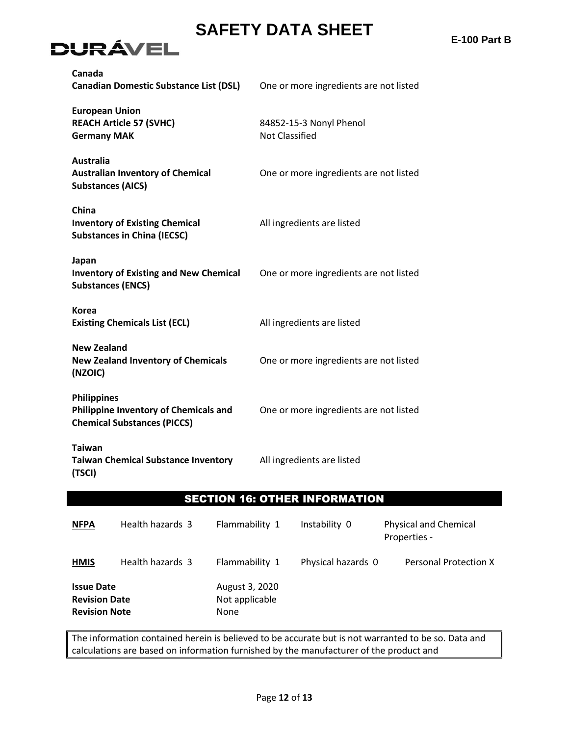

**E-100 Part B**

| Canada<br><b>Canadian Domestic Substance List (DSL)</b>                                                  | One or more ingredients are not listed           |  |  |
|----------------------------------------------------------------------------------------------------------|--------------------------------------------------|--|--|
| <b>European Union</b><br><b>REACH Article 57 (SVHC)</b><br><b>Germany MAK</b>                            | 84852-15-3 Nonyl Phenol<br><b>Not Classified</b> |  |  |
| <b>Australia</b><br><b>Australian Inventory of Chemical</b><br><b>Substances (AICS)</b>                  | One or more ingredients are not listed           |  |  |
| China<br><b>Inventory of Existing Chemical</b><br><b>Substances in China (IECSC)</b>                     | All ingredients are listed                       |  |  |
| Japan<br><b>Inventory of Existing and New Chemical</b><br><b>Substances (ENCS)</b>                       | One or more ingredients are not listed           |  |  |
| <b>Korea</b><br><b>Existing Chemicals List (ECL)</b>                                                     | All ingredients are listed                       |  |  |
| <b>New Zealand</b><br><b>New Zealand Inventory of Chemicals</b><br>(NZOIC)                               | One or more ingredients are not listed           |  |  |
| <b>Philippines</b><br><b>Philippine Inventory of Chemicals and</b><br><b>Chemical Substances (PICCS)</b> | One or more ingredients are not listed           |  |  |
| <b>Taiwan</b><br><b>Taiwan Chemical Substance Inventory</b><br>(TSCI)                                    | All ingredients are listed                       |  |  |

## SECTION 16: OTHER INFORMATION

| <b>NFPA</b>                                                       | Health hazards 3 | Flammability 1                                  | Instability 0      | <b>Physical and Chemical</b><br>Properties - |
|-------------------------------------------------------------------|------------------|-------------------------------------------------|--------------------|----------------------------------------------|
| <b>HMIS</b>                                                       | Health hazards 3 | Flammability 1                                  | Physical hazards 0 | Personal Protection X                        |
| <b>Issue Date</b><br><b>Revision Date</b><br><b>Revision Note</b> |                  | August 3, 2020<br>Not applicable<br><b>None</b> |                    |                                              |

The information contained herein is believed to be accurate but is not warranted to be so. Data and calculations are based on information furnished by the manufacturer of the product and